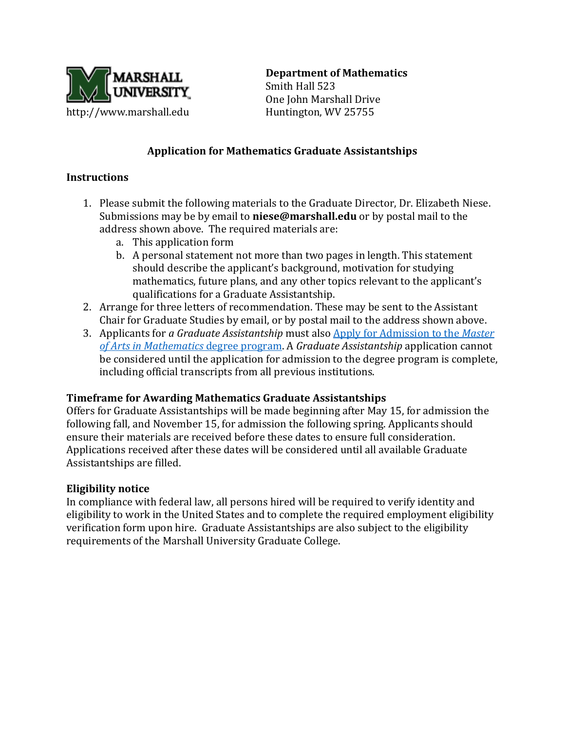

**Department of Mathematics**

Smith Hall 523 One John Marshall Drive

### **Application for Mathematics Graduate Assistantships**

## **Instructions**

- 1. Please submit the following materials to the Graduate Director, Dr. Elizabeth Niese. Submissions may be by email to **niese@marshall.edu** or by postal mail to the address shown above. The required materials are:
	- a. This application form
	- b. A personal statement not more than two pages in length. This statement should describe the applicant's background, motivation for studying mathematics, future plans, and any other topics relevant to the applicant's qualifications for a Graduate Assistantship.
- 2. Arrange for three letters of recommendation. These may be sent to the Assistant Chair for Graduate Studies by email, or by postal mail to the address shown above.
- 3. Applicants for *a Graduate Assistantship* must also [Apply for Admission to the](http://www.marshall.edu/math/graduate/application/) *Master [of Arts in Mathematics](http://www.marshall.edu/math/graduate/application/)* degree program. A *Graduate Assistantship* application cannot be considered until the application for admission to the degree program is complete, including official transcripts from all previous institutions.

#### **Timeframe for Awarding Mathematics Graduate Assistantships**

Offers for Graduate Assistantships will be made beginning after May 15, for admission the following fall, and November 15, for admission the following spring. Applicants should ensure their materials are received before these dates to ensure full consideration. Applications received after these dates will be considered until all available Graduate Assistantships are filled.

#### **Eligibility notice**

In compliance with federal law, all persons hired will be required to verify identity and eligibility to work in the United States and to complete the required employment eligibility verification form upon hire. Graduate Assistantships are also subject to the eligibility requirements of the Marshall University Graduate College.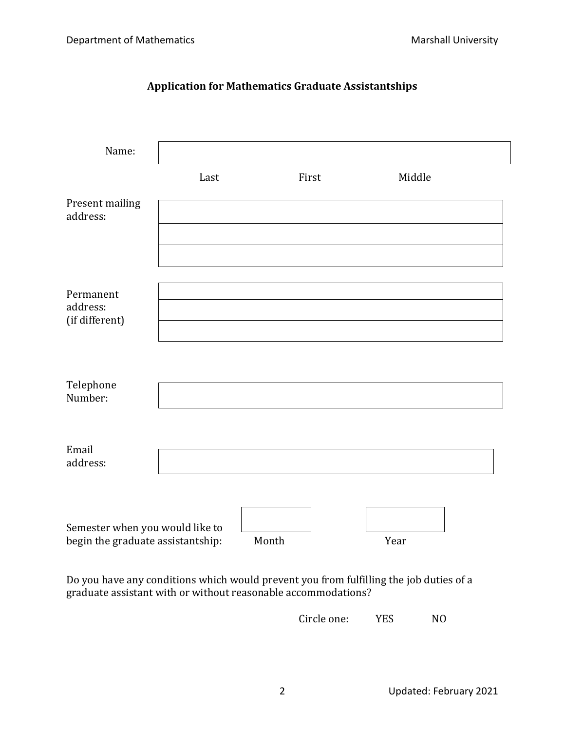| Name:                                                                |      |       |        |  |
|----------------------------------------------------------------------|------|-------|--------|--|
|                                                                      | Last | First | Middle |  |
| Present mailing<br>address:                                          |      |       |        |  |
| Permanent<br>address:<br>(if different)                              |      |       |        |  |
| Telephone<br>Number:                                                 |      |       |        |  |
| Email<br>address:                                                    |      |       |        |  |
| Semester when you would like to<br>begin the graduate assistantship: |      | Month | Year   |  |

# **Application for Mathematics Graduate Assistantships**

Do you have any conditions which would prevent you from fulfilling the job duties of a graduate assistant with or without reasonable accommodations?

Circle one: YES NO